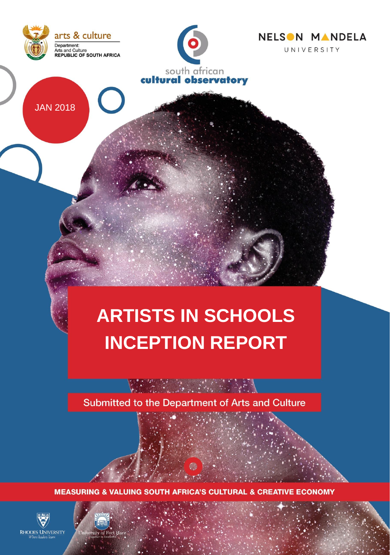





JAN 2018

# **ARTISTS IN SCHOOLS INCEPTION REPORT**

Submitted to the Department of Arts and Culture



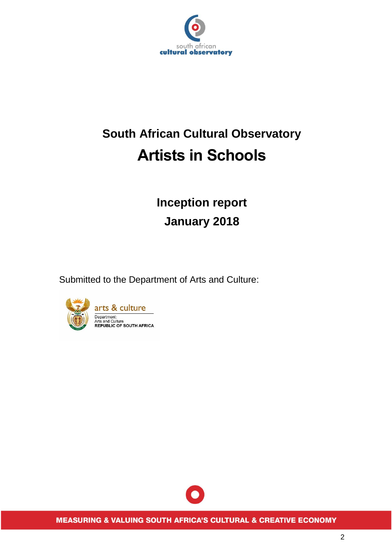

## **South African Cultural Observatory Artists in Schools**

### **Inception report January 2018**

Submitted to the Department of Arts and Culture:



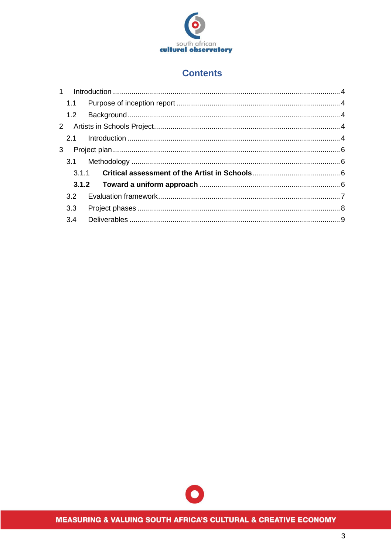

#### **Contents**

| 3.3 |  |
|-----|--|
|     |  |
|     |  |

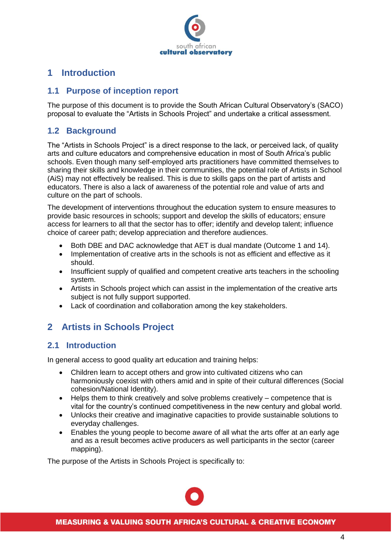

#### <span id="page-3-0"></span>**1 Introduction**

#### <span id="page-3-1"></span>**1.1 Purpose of inception report**

The purpose of this document is to provide the South African Cultural Observatory's (SACO) proposal to evaluate the "Artists in Schools Project" and undertake a critical assessment.

#### <span id="page-3-2"></span>**1.2 Background**

The "Artists in Schools Project" is a direct response to the lack, or perceived lack, of quality arts and culture educators and comprehensive education in most of South Africa's public schools. Even though many self-employed arts practitioners have committed themselves to sharing their skills and knowledge in their communities, the potential role of Artists in School (AiS) may not effectively be realised. This is due to skills gaps on the part of artists and educators. There is also a lack of awareness of the potential role and value of arts and culture on the part of schools.

The development of interventions throughout the education system to ensure measures to provide basic resources in schools; support and develop the skills of educators; ensure access for learners to all that the sector has to offer; identify and develop talent; influence choice of career path; develop appreciation and therefore audiences.

- Both DBE and DAC acknowledge that AET is dual mandate (Outcome 1 and 14).
- Implementation of creative arts in the schools is not as efficient and effective as it should.
- Insufficient supply of qualified and competent creative arts teachers in the schooling system.
- Artists in Schools project which can assist in the implementation of the creative arts subject is not fully support supported.
- Lack of coordination and collaboration among the key stakeholders.

### <span id="page-3-3"></span>**2 Artists in Schools Project**

#### <span id="page-3-4"></span>**2.1 Introduction**

In general access to good quality art education and training helps:

- Children learn to accept others and grow into cultivated citizens who can harmoniously coexist with others amid and in spite of their cultural differences (Social cohesion/National Identity).
- Helps them to think creatively and solve problems creatively competence that is vital for the country's continued competitiveness in the new century and global world.
- Unlocks their creative and imaginative capacities to provide sustainable solutions to everyday challenges.
- Enables the young people to become aware of all what the arts offer at an early age and as a result becomes active producers as well participants in the sector (career mapping).

The purpose of the Artists in Schools Project is specifically to: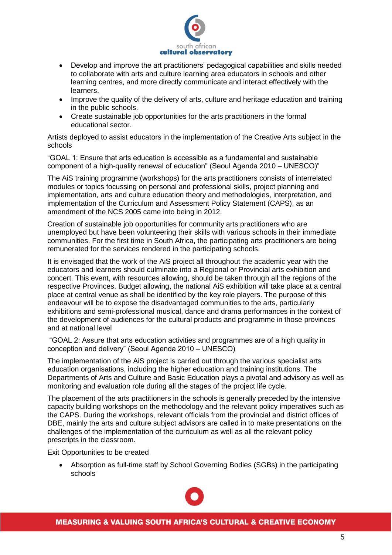

- Develop and improve the art practitioners' pedagogical capabilities and skills needed to collaborate with arts and culture learning area educators in schools and other learning centres, and more directly communicate and interact effectively with the learners.
- Improve the quality of the delivery of arts, culture and heritage education and training in the public schools.
- Create sustainable job opportunities for the arts practitioners in the formal educational sector.

Artists deployed to assist educators in the implementation of the Creative Arts subject in the schools

"GOAL 1: Ensure that arts education is accessible as a fundamental and sustainable component of a high-quality renewal of education" (Seoul Agenda 2010 – UNESCO)"

The AiS training programme (workshops) for the arts practitioners consists of interrelated modules or topics focussing on personal and professional skills, project planning and implementation, arts and culture education theory and methodologies, interpretation, and implementation of the Curriculum and Assessment Policy Statement (CAPS), as an amendment of the NCS 2005 came into being in 2012.

Creation of sustainable job opportunities for community arts practitioners who are unemployed but have been volunteering their skills with various schools in their immediate communities. For the first time in South Africa, the participating arts practitioners are being remunerated for the services rendered in the participating schools.

It is envisaged that the work of the AiS project all throughout the academic year with the educators and learners should culminate into a Regional or Provincial arts exhibition and concert. This event, with resources allowing, should be taken through all the regions of the respective Provinces. Budget allowing, the national AiS exhibition will take place at a central place at central venue as shall be identified by the key role players. The purpose of this endeavour will be to expose the disadvantaged communities to the arts, particularly exhibitions and semi-professional musical, dance and drama performances in the context of the development of audiences for the cultural products and programme in those provinces and at national level

"GOAL 2: Assure that arts education activities and programmes are of a high quality in conception and delivery" (Seoul Agenda 2010 – UNESCO)

The implementation of the AiS project is carried out through the various specialist arts education organisations, including the higher education and training institutions. The Departments of Arts and Culture and Basic Education plays a pivotal and advisory as well as monitoring and evaluation role during all the stages of the project life cycle.

The placement of the arts practitioners in the schools is generally preceded by the intensive capacity building workshops on the methodology and the relevant policy imperatives such as the CAPS. During the workshops, relevant officials from the provincial and district offices of DBE, mainly the arts and culture subject advisors are called in to make presentations on the challenges of the implementation of the curriculum as well as all the relevant policy prescripts in the classroom.

Exit Opportunities to be created

 Absorption as full-time staff by School Governing Bodies (SGBs) in the participating schools

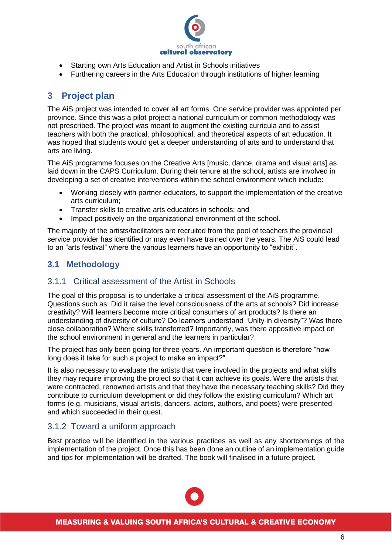

- Starting own Arts Education and Artist in Schools initiatives
- Furthering careers in the Arts Education through institutions of higher learning

### <span id="page-5-0"></span>**3 Project plan**

The AiS project was intended to cover all art forms. One service provider was appointed per province. Since this was a pilot project a national curriculum or common methodology was not prescribed. The project was meant to augment the existing curricula and to assist teachers with both the practical, philosophical, and theoretical aspects of art education. It was hoped that students would get a deeper understanding of arts and to understand that arts are living.

The AiS programme focuses on the Creative Arts [music, dance, drama and visual arts] as laid down in the CAPS Curriculum. During their tenure at the school, artists are involved in developing a set of creative interventions within the school environment which include:

- Working closely with partner-educators, to support the implementation of the creative arts curriculum;
- Transfer skills to creative arts educators in schools; and
- Impact positively on the organizational environment of the school.

The majority of the artists/facilitators are recruited from the pool of teachers the provincial service provider has identified or may even have trained over the years. The AiS could lead to an "arts festival" where the various learners have an opportunity to "exhibit".

#### <span id="page-5-1"></span>**3.1 Methodology**

#### <span id="page-5-2"></span>3.1.1 Critical assessment of the Artist in Schools

The goal of this proposal is to undertake a critical assessment of the AiS programme. Questions such as: Did it raise the level consciousness of the arts at schools? Did increase creativity? Will learners become more critical consumers of art products? Is there an understanding of diversity of culture? Do learners understand "Unity in diversity"? Was there close collaboration? Where skills transferred? Importantly, was there appositive impact on the school environment in general and the learners in particular?

The project has only been going for three years. An important question is therefore "how long does it take for such a project to make an impact?"

It is also necessary to evaluate the artists that were involved in the projects and what skills they may require improving the project so that it can achieve its goals. Were the artists that were contracted, renowned artists and that they have the necessary teaching skills? Did they contribute to curriculum development or did they follow the existing curriculum? Which art forms (e.g. musicians, visual artists, dancers, actors, authors, and poets) were presented and which succeeded in their quest.

#### <span id="page-5-3"></span>3.1.2 Toward a uniform approach

Best practice will be identified in the various practices as well as any shortcomings of the implementation of the project. Once this has been done an outline of an implementation guide and tips for implementation will be drafted. The book will finalised in a future project.

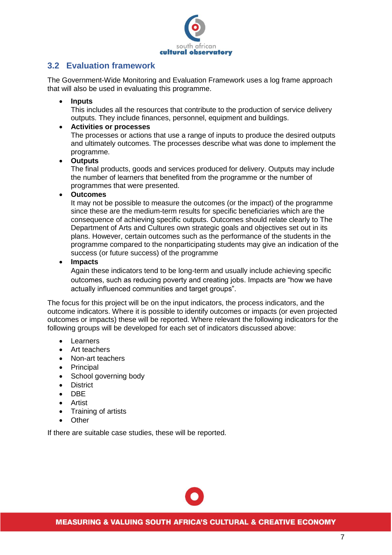

#### <span id="page-6-0"></span>**3.2 Evaluation framework**

The Government-Wide Monitoring and Evaluation Framework uses a log frame approach that will also be used in evaluating this programme.

#### **Inputs**

This includes all the resources that contribute to the production of service delivery outputs. They include finances, personnel, equipment and buildings.

#### **Activities or processes**

The processes or actions that use a range of inputs to produce the desired outputs and ultimately outcomes. The processes describe what was done to implement the programme.

#### **Outputs**

The final products, goods and services produced for delivery. Outputs may include the number of learners that benefited from the programme or the number of programmes that were presented.

**Outcomes**

It may not be possible to measure the outcomes (or the impact) of the programme since these are the medium-term results for specific beneficiaries which are the consequence of achieving specific outputs. Outcomes should relate clearly to The Department of Arts and Cultures own strategic goals and objectives set out in its plans. However, certain outcomes such as the performance of the students in the programme compared to the nonparticipating students may give an indication of the success (or future success) of the programme

**Impacts**

Again these indicators tend to be long-term and usually include achieving specific outcomes, such as reducing poverty and creating jobs. Impacts are "how we have actually influenced communities and target groups".

The focus for this project will be on the input indicators, the process indicators, and the outcome indicators. Where it is possible to identify outcomes or impacts (or even projected outcomes or impacts) these will be reported. Where relevant the following indicators for the following groups will be developed for each set of indicators discussed above:

- Learners
- Art teachers
- Non-art teachers
- Principal
- School governing body
- District
- DBE
- Artist
- Training of artists
- Other

If there are suitable case studies, these will be reported.

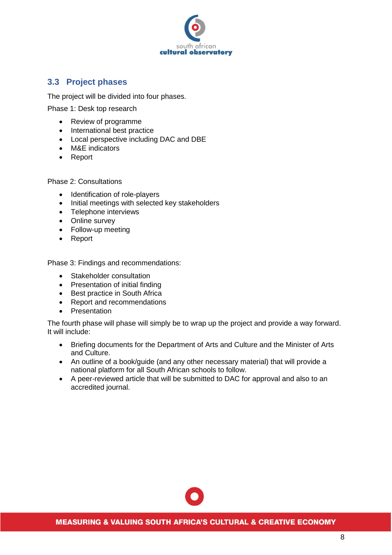

#### <span id="page-7-0"></span>**3.3 Project phases**

The project will be divided into four phases.

Phase 1: Desk top research

- Review of programme
- International best practice
- Local perspective including DAC and DBE
- M&E indicators
- Report

Phase 2: Consultations

- Identification of role-players
- Initial meetings with selected key stakeholders
- Telephone interviews
- Online survey
- Follow-up meeting
- Report

Phase 3: Findings and recommendations:

- Stakeholder consultation
- Presentation of initial finding
- Best practice in South Africa
- Report and recommendations
- Presentation

The fourth phase will phase will simply be to wrap up the project and provide a way forward. It will include:

- Briefing documents for the Department of Arts and Culture and the Minister of Arts and Culture.
- An outline of a book/guide (and any other necessary material) that will provide a national platform for all South African schools to follow.
- A peer-reviewed article that will be submitted to DAC for approval and also to an accredited journal.